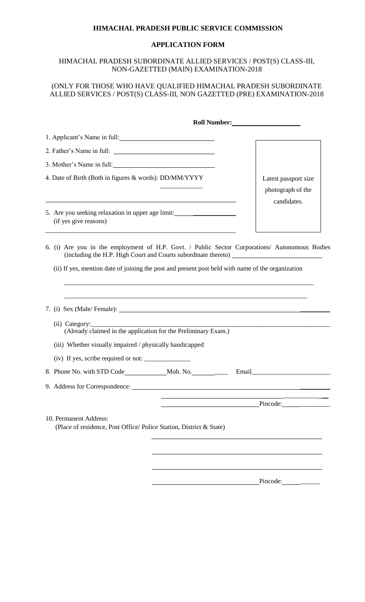#### **HIMACHAL PRADESH PUBLIC SERVICE COMMISSION**

#### **APPLICATION FORM**

### HIMACHAL PRADESH SUBORDINATE ALLIED SERVICES / POST(S) CLASS-III, NON-GAZETTED (MAIN) EXAMINATION-2018

## (ONLY FOR THOSE WHO HAVE QUALIFIED HIMACHAL PRADESH SUBORDINATE ALLIED SERVICES / POST(S) CLASS-III, NON GAZETTED (PRE) EXAMINATION-2018

|                                                                                                           | <b>Roll Number:</b>                                                                                                                                                                                                            |
|-----------------------------------------------------------------------------------------------------------|--------------------------------------------------------------------------------------------------------------------------------------------------------------------------------------------------------------------------------|
|                                                                                                           |                                                                                                                                                                                                                                |
|                                                                                                           |                                                                                                                                                                                                                                |
| 3. Mother's Name in full:                                                                                 |                                                                                                                                                                                                                                |
| 4. Date of Birth (Both in figures & words): DD/MM/YYYY                                                    | Latest passport size<br>photograph of the<br>candidates.                                                                                                                                                                       |
| 5. Are you seeking relaxation in upper age limit: ______________________________<br>(if yes give reasons) |                                                                                                                                                                                                                                |
|                                                                                                           | 6. (i) Are you in the employment of H.P. Govt. / Public Sector Corporations/ Autonomous Bodies<br>(including the H.P. High Court and Courts subordinate thereto) __________________                                            |
|                                                                                                           | (ii) If yes, mention date of joining the post and present post held with name of the organization                                                                                                                              |
| 7. (i) Sex (Male/Female): 2008 (Male/Female): 2008 (Male/Female): 2008 (Male/Female)                      |                                                                                                                                                                                                                                |
| (Already claimed in the application for the Preliminary Exam.)                                            |                                                                                                                                                                                                                                |
| (iii) Whether visually impaired / physically handicapped                                                  |                                                                                                                                                                                                                                |
|                                                                                                           |                                                                                                                                                                                                                                |
|                                                                                                           | Email Finance Contract Contract of the Second Second Second Second Second Second Second Second Second Second Second Second Second Second Second Second Second Second Second Second Second Second Second Second Second Second S |
| 9. Address for Correspondence:                                                                            |                                                                                                                                                                                                                                |
|                                                                                                           | Pincode:                                                                                                                                                                                                                       |
| 10. Permanent Address:<br>(Place of residence, Post Office/ Police Station, District & State)             |                                                                                                                                                                                                                                |
|                                                                                                           |                                                                                                                                                                                                                                |
|                                                                                                           | Pincode:                                                                                                                                                                                                                       |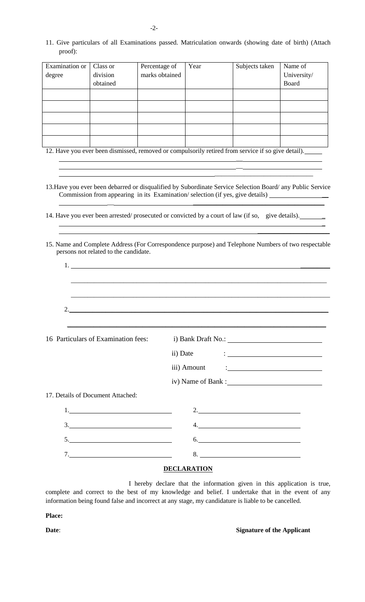11. Give particulars of all Examinations passed. Matriculation onwards (showing date of birth) (Attach proof):

| Examination or | Class or | Percentage of  | Year | Subjects taken | Name of     |
|----------------|----------|----------------|------|----------------|-------------|
| degree         | division | marks obtained |      |                | University/ |
|                | obtained |                |      |                | Board       |
|                |          |                |      |                |             |
|                |          |                |      |                |             |
|                |          |                |      |                |             |
|                |          |                |      |                |             |
|                |          |                |      |                |             |

12. Have you ever been dismissed, removed or compulsorily retired from service if so give detail).

13.Have you ever been debarred or disqualified by Subordinate Service Selection Board/ any Public Service Commission from appearing in its Examination/ selection (if yes, give details) \_\_ *\_\_* \_\_\_\_\_\_\_\_\_\_\_\_\_\_\_\_\_\_\_\_\_\_\_\_\_\_\_\_\_\_\_\_\_\_\_\_\_\_\_\_

**\_\_**  $\overline{a}$ 

\_\_\_\_\_\_\_\_\_\_\_\_\_\_\_\_\_\_\_\_\_\_\_\_\_\_\_\_\_\_

 $\overline{a}$ 

\_\_\_\_\_\_\_\_\_\_\_\_\_\_\_\_\_\_\_\_\_\_

- 14. Have you ever been arrested/ prosecuted or convicted by a court of law (if so, give details).
- 15. Name and Complete Address (For Correspondence purpose) and Telephone Numbers of two respectable persons not related to the candidate.

| 1.                                                                                                                                                                                                                                                                                                                                                                                                                                                                                                                                         |
|--------------------------------------------------------------------------------------------------------------------------------------------------------------------------------------------------------------------------------------------------------------------------------------------------------------------------------------------------------------------------------------------------------------------------------------------------------------------------------------------------------------------------------------------|
|                                                                                                                                                                                                                                                                                                                                                                                                                                                                                                                                            |
|                                                                                                                                                                                                                                                                                                                                                                                                                                                                                                                                            |
|                                                                                                                                                                                                                                                                                                                                                                                                                                                                                                                                            |
|                                                                                                                                                                                                                                                                                                                                                                                                                                                                                                                                            |
| 16 Particulars of Examination fees: i) Bank Draft No.: _________________________                                                                                                                                                                                                                                                                                                                                                                                                                                                           |
|                                                                                                                                                                                                                                                                                                                                                                                                                                                                                                                                            |
| iii) Amount $\qquad \qquad :$                                                                                                                                                                                                                                                                                                                                                                                                                                                                                                              |
|                                                                                                                                                                                                                                                                                                                                                                                                                                                                                                                                            |
|                                                                                                                                                                                                                                                                                                                                                                                                                                                                                                                                            |
| 2.                                                                                                                                                                                                                                                                                                                                                                                                                                                                                                                                         |
| $\begin{array}{c}\n3.\n\end{array}$<br>$\begin{array}{c} \n4. \quad \textcolor{blue}{\textbf{12.12}} \quad \textcolor{blue}{\textbf{24.13}} \quad \textcolor{blue}{\textbf{25.13}} \quad \textcolor{blue}{\textbf{26.13}} \quad \textcolor{blue}{\textbf{27.13}} \quad \textcolor{blue}{\textbf{28.13}} \quad \textcolor{blue}{\textbf{29.13}} \quad \textcolor{blue}{\textbf{21.13}} \quad \textcolor{blue}{\textbf{21.13}} \quad \textcolor{blue}{\textbf{21.13}} \quad \textcolor{blue}{\textbf{21.13}} \quad \textcolor{blue}{\textbf$ |
| $\begin{array}{c}\n6.\end{array}$<br>5.                                                                                                                                                                                                                                                                                                                                                                                                                                                                                                    |
| $8. \underline{\hspace{2cm}}$<br>7.                                                                                                                                                                                                                                                                                                                                                                                                                                                                                                        |
|                                                                                                                                                                                                                                                                                                                                                                                                                                                                                                                                            |

#### **DECLARATION**

I hereby declare that the information given in this application is true, complete and correct to the best of my knowledge and belief. I undertake that in the event of any information being found false and incorrect at any stage, my candidature is liable to be cancelled.

**Place:**

**Date: Signature of the Applicant** 

-2-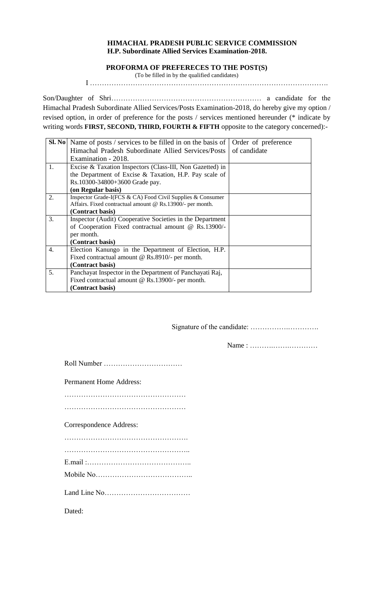## **HIMACHAL PRADESH PUBLIC SERVICE COMMISSION H.P. Subordinate Allied Services Examination-2018.**

# **PROFORMA OF PREFERECES TO THE POST(S)**

(To be filled in by the qualified candidates)

I ……………………………………………………………………………………….

Son/Daughter of Shri……………………………………………………… a candidate for the Himachal Pradesh Subordinate Allied Services/Posts Examination-2018, do hereby give my option / revised option, in order of preference for the posts / services mentioned hereunder (\* indicate by writing words **FIRST, SECOND, THIRD, FOURTH & FIFTH** opposite to the category concerned):-

|                | <b>Sl. No</b> Name of posts / services to be filled in on the basis of | Order of preference |
|----------------|------------------------------------------------------------------------|---------------------|
|                | Himachal Pradesh Subordinate Allied Services/Posts                     | of candidate        |
|                | Examination - 2018.                                                    |                     |
| $\mathbf{1}$ . | Excise & Taxation Inspectors (Class-III, Non Gazetted) in              |                     |
|                | the Department of Excise & Taxation, H.P. Pay scale of                 |                     |
|                | Rs.10300-34800+3600 Grade pay.                                         |                     |
|                | (on Regular basis)                                                     |                     |
| 2.             | Inspector Grade-I(FCS & CA) Food Civil Supplies & Consumer             |                     |
|                | Affairs. Fixed contractual amount @ Rs.13900/- per month.              |                     |
|                | (Contract basis)                                                       |                     |
| 3.             | Inspector (Audit) Cooperative Societies in the Department              |                     |
|                | of Cooperation Fixed contractual amount @ Rs.13900/-                   |                     |
|                | per month.                                                             |                     |
|                | (Contract basis)                                                       |                     |
| 4.             | Election Kanungo in the Department of Election, H.P.                   |                     |
|                | Fixed contractual amount @ Rs.8910/- per month.                        |                     |
|                | (Contract basis)                                                       |                     |
| 5.             | Panchayat Inspector in the Department of Panchayati Raj,               |                     |
|                | Fixed contractual amount @ Rs.13900/- per month.                       |                     |
|                | (Contract basis)                                                       |                     |

Signature of the candidate: …………….………….

Name : ……….…….…………

| <b>Permanent Home Address:</b> |
|--------------------------------|
|                                |
|                                |
| Correspondence Address:        |
|                                |
|                                |
|                                |
|                                |
|                                |
| Dated:                         |